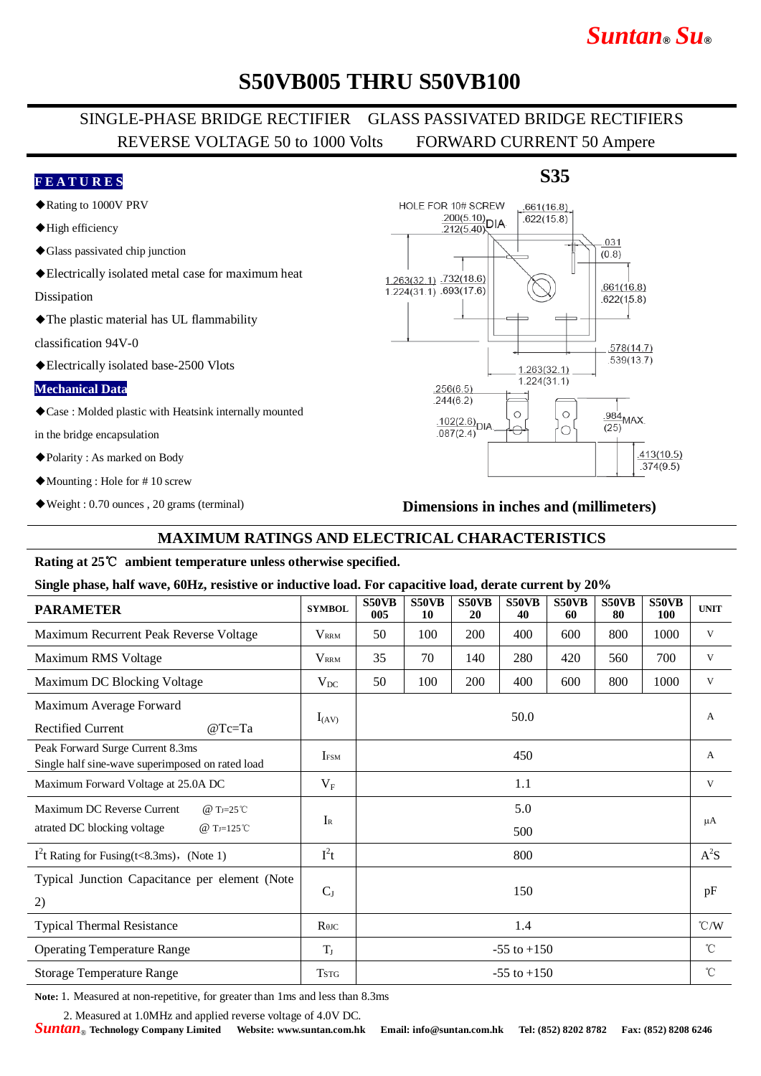# *Suntan***®** *Su***®**

## **S50VB005 THRU S50VB100**

## SINGLE-PHASE BRIDGE RECTIFIER GLASS PASSIVATED BRIDGE RECTIFIERS REVERSE VOLTAGE 50 to 1000 Volts FORWARD CURRENT 50 Ampere

### **F E A T U R E S**

- ◆Rating to 1000V PRV
- ◆High efficiency
- ◆Glass passivated chip junction
- ◆Electrically isolated metal case for maximum heat

Dissipation

◆The plastic material has UL flammability

classification 94V-0

◆Electrically isolated base-2500 Vlots

#### **Mechanical Data**

◆Case : Molded plastic with Heatsink internally mounted

in the bridge encapsulation

- ◆Polarity : As marked on Body
- ◆Mounting : Hole for # 10 screw
- ◆Weight : 0.70 ounces , 20 grams (terminal)

## **S35**



### **Dimensions in inches and (millimeters)**

### **MAXIMUM RATINGS AND ELECTRICAL CHARACTERISTICS**

### **Rating at 25**℃ **ambient temperature unless otherwise specified.**

#### **Single phase, half wave, 60Hz, resistive or inductive load. For capacitive load, derate current by 20%**

| <b>PARAMETER</b>                                                                                               | <b>SYMBOL</b>                        | <b>S50VB</b><br>005 | <b>S50VB</b><br>10 | S50VB<br>20 | <b>S50VB</b><br>40 | S50VB<br>60 | <b>S50VB</b><br>80 | <b>S50VB</b><br><b>100</b> | <b>UNIT</b>   |
|----------------------------------------------------------------------------------------------------------------|--------------------------------------|---------------------|--------------------|-------------|--------------------|-------------|--------------------|----------------------------|---------------|
| Maximum Recurrent Peak Reverse Voltage                                                                         | <b>V</b> <sub>RRM</sub>              | 50                  | 100                | <b>200</b>  | 400                | 600         | 800                | 1000                       | V             |
| Maximum RMS Voltage                                                                                            | $V_{\rm RRM}$                        | 35                  | 70                 | 140         | 280                | 420         | 560                | 700                        | V             |
| Maximum DC Blocking Voltage                                                                                    | $V_{DC}$                             | 50                  | 100                | 200         | 400                | 600         | 800                | 1000                       | V             |
| Maximum Average Forward<br><b>Rectified Current</b><br>@Tc=Ta                                                  | $I_{(AV)}$                           | 50.0                |                    |             |                    |             |                    |                            | $\mathsf{A}$  |
| Peak Forward Surge Current 8.3ms<br>Single half sine-wave superimposed on rated load                           | <b>IFSM</b>                          | 450                 |                    |             |                    |             |                    |                            | A             |
| Maximum Forward Voltage at 25.0A DC                                                                            | $V_{F}$                              | 1.1                 |                    |             |                    |             |                    |                            | V             |
| Maximum DC Reverse Current<br>@ T <sub>J=25</sub> °C<br>atrated DC blocking voltage<br>@ T <sub>J=125</sub> °C | $I_{R}$                              | 5.0<br>500          |                    |             |                    |             |                    |                            | μA            |
| $I2$ t Rating for Fusing(t<8.3ms), (Note 1)                                                                    | $I^2t$                               | 800                 |                    |             |                    |             |                    |                            | $A^2S$        |
| Typical Junction Capacitance per element (Note<br>2)                                                           | $C_{J}$                              | 150                 |                    |             |                    |             |                    |                            | pF            |
| <b>Typical Thermal Resistance</b>                                                                              | $R$ <sup><math>\theta</math>JC</sup> | 1.4                 |                    |             |                    |             |                    |                            | $\degree$ C/W |
| <b>Operating Temperature Range</b>                                                                             | $T_{J}$                              | $-55$ to $+150$     |                    |             |                    |             |                    |                            | $^{\circ}$ C  |
| <b>Storage Temperature Range</b>                                                                               | <b>TSTG</b>                          | $-55$ to $+150$     |                    |             |                    |             |                    |                            | $^{\circ}$ C  |

**Note:** 1. Measured at non-repetitive, for greater than 1ms and less than 8.3ms

2. Measured at 1.0MHz and applied reverse voltage of 4.0V DC.

*Suntan*® **Technology Company Limited Website: www.suntan.com.hk Email: info@suntan.com.hk Tel: (852) 8202 8782 Fax: (852) 8208 6246**